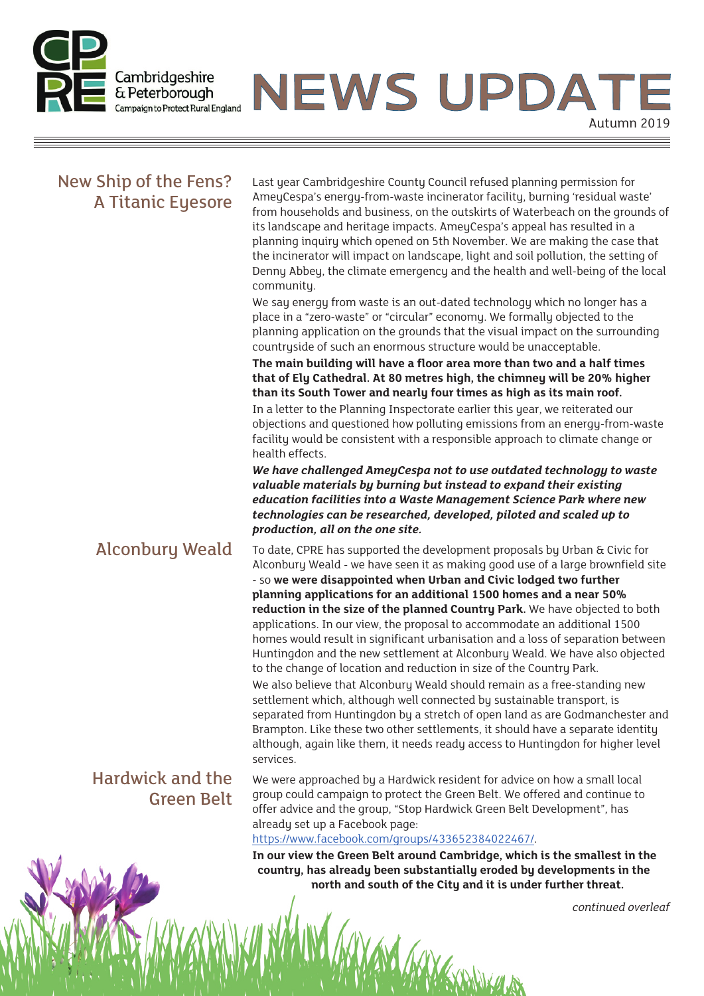

Ξ

**NEWS UPDAT** Autumn 2019

MANGOLIA

| New Ship of the Fens?<br>A Titanic Eyesore   | Last year Cambridgeshire County Council refused planning permission for<br>AmeyCespa's energy-from-waste incinerator facility, burning 'residual waste'<br>from households and business, on the outskirts of Waterbeach on the grounds of<br>its landscape and heritage impacts. AmeyCespa's appeal has resulted in a<br>planning inquiry which opened on 5th November. We are making the case that<br>the incinerator will impact on landscape, light and soil pollution, the setting of<br>Denny Abbey, the climate emergency and the health and well-being of the local<br>community.<br>We say energy from waste is an out-dated technology which no longer has a<br>place in a "zero-waste" or "circular" economy. We formally objected to the<br>planning application on the grounds that the visual impact on the surrounding<br>countryside of such an enormous structure would be unacceptable.<br>The main building will have a floor area more than two and a half times<br>that of Ely Cathedral. At 80 metres high, the chimney will be 20% higher<br>than its South Tower and nearly four times as high as its main roof.<br>In a letter to the Planning Inspectorate earlier this year, we reiterated our<br>objections and questioned how polluting emissions from an energy-from-waste<br>facility would be consistent with a responsible approach to climate change or<br>health effects.<br>We have challenged AmeyCespa not to use outdated technology to waste<br>valuable materials by burning but instead to expand their existing<br>education facilities into a Waste Management Science Park where new<br>technologies can be researched, developed, piloted and scaled up to<br>production, all on the one site. |
|----------------------------------------------|---------------------------------------------------------------------------------------------------------------------------------------------------------------------------------------------------------------------------------------------------------------------------------------------------------------------------------------------------------------------------------------------------------------------------------------------------------------------------------------------------------------------------------------------------------------------------------------------------------------------------------------------------------------------------------------------------------------------------------------------------------------------------------------------------------------------------------------------------------------------------------------------------------------------------------------------------------------------------------------------------------------------------------------------------------------------------------------------------------------------------------------------------------------------------------------------------------------------------------------------------------------------------------------------------------------------------------------------------------------------------------------------------------------------------------------------------------------------------------------------------------------------------------------------------------------------------------------------------------------------------------------------------------------------------------------------------------------------------------------------|
| <b>Alconbury Weald</b>                       | To date, CPRE has supported the development proposals by Urban & Civic for<br>Alconbury Weald - we have seen it as making good use of a large brownfield site<br>- so we were disappointed when Urban and Civic lodged two further<br>planning applications for an additional 1500 homes and a near 50%<br>reduction in the size of the planned Country Park. We have objected to both<br>applications. In our view, the proposal to accommodate an additional 1500<br>homes would result in significant urbanisation and a loss of separation between<br>Huntingdon and the new settlement at Alconbury Weald. We have also objected<br>to the change of location and reduction in size of the Country Park.<br>We also believe that Alconbury Weald should remain as a free-standing new<br>settlement which, although well connected by sustainable transport, is<br>separated from Huntingdon by a stretch of open land as are Godmanchester and<br>Brampton. Like these two other settlements, it should have a separate identity<br>although, again like them, it needs ready access to Huntingdon for higher level<br>services.                                                                                                                                                                                                                                                                                                                                                                                                                                                                                                                                                                                                      |
| <b>Hardwick and the</b><br><b>Green Belt</b> | We were approached by a Hardwick resident for advice on how a small local<br>group could campaign to protect the Green Belt. We offered and continue to<br>offer advice and the group, "Stop Hardwick Green Belt Development", has<br>already set up a Facebook page:<br>https://www.facebook.com/groups/433652384022467/.                                                                                                                                                                                                                                                                                                                                                                                                                                                                                                                                                                                                                                                                                                                                                                                                                                                                                                                                                                                                                                                                                                                                                                                                                                                                                                                                                                                                                  |
| MAY M                                        | In our view the Green Belt around Cambridge, which is the smallest in the<br>country, has already been substantially eroded by developments in the<br>north and south of the City and it is under further threat.                                                                                                                                                                                                                                                                                                                                                                                                                                                                                                                                                                                                                                                                                                                                                                                                                                                                                                                                                                                                                                                                                                                                                                                                                                                                                                                                                                                                                                                                                                                           |

*continued overleaf*